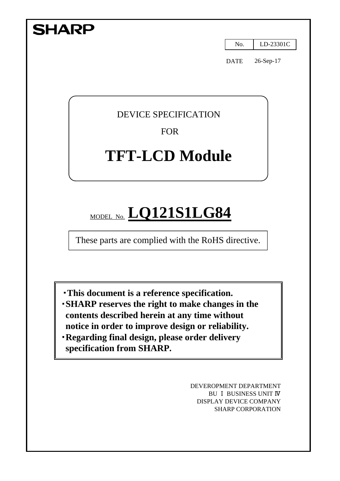| <b>SHARP</b>                                                                                                                                                  |             |           |
|---------------------------------------------------------------------------------------------------------------------------------------------------------------|-------------|-----------|
|                                                                                                                                                               | No.         | LD-23301C |
|                                                                                                                                                               | <b>DATE</b> | 26-Sep-17 |
|                                                                                                                                                               |             |           |
| <b>DEVICE SPECIFICATION</b>                                                                                                                                   |             |           |
| <b>FOR</b>                                                                                                                                                    |             |           |
| <b>TFT-LCD Module</b>                                                                                                                                         |             |           |
|                                                                                                                                                               |             |           |
|                                                                                                                                                               |             |           |
| MODEL NO. LQ121S1LG84<br>These parts are complied with the RoHS directive.                                                                                    |             |           |
|                                                                                                                                                               |             |           |
|                                                                                                                                                               |             |           |
| <b>This document is a reference specification.</b><br><b>SHARP</b> reserves the right to make changes in the<br>contents described herein at any time without |             |           |

DEVEROPMENT DEPARTMENT BU Ⅰ BUSINESS UNIT Ⅳ DISPLAY DEVICE COMPANY SHARP CORPORATION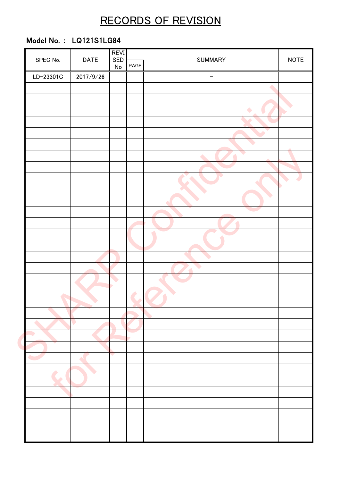# RECORDS OF REVISION

## Model No. : LQ121S1LG84

| SPEC No.  | <b>DATE</b> | <b>REVI</b><br>SED |               | <b>SUMMARY</b>    |             |
|-----------|-------------|--------------------|---------------|-------------------|-------------|
|           |             | ${\sf No}$         | PAGE          |                   | <b>NOTE</b> |
| LD-23301C | 2017/9/26   |                    |               | $\qquad \qquad -$ |             |
|           |             |                    |               |                   |             |
|           |             |                    |               |                   |             |
|           |             |                    |               |                   |             |
|           |             |                    |               |                   |             |
|           |             |                    |               |                   |             |
|           |             |                    |               |                   |             |
|           |             |                    |               |                   |             |
|           |             |                    |               |                   |             |
|           |             |                    |               |                   |             |
|           |             |                    |               |                   |             |
|           |             |                    |               |                   |             |
|           |             |                    |               |                   |             |
|           |             |                    |               |                   |             |
|           |             |                    |               |                   |             |
|           |             |                    |               |                   |             |
|           |             |                    |               |                   |             |
|           |             |                    |               |                   |             |
|           |             |                    |               |                   |             |
|           |             |                    | $\rightarrow$ |                   |             |
|           |             |                    |               |                   |             |
|           |             |                    |               |                   |             |
|           | V           |                    |               |                   |             |
|           |             |                    |               |                   |             |
|           |             |                    |               |                   |             |
|           |             | $\mathcal{L}$      |               |                   |             |
| ▲         |             |                    |               |                   |             |
|           |             |                    |               |                   |             |
|           |             |                    |               |                   |             |
|           |             |                    |               |                   |             |
|           |             |                    |               |                   |             |
|           |             |                    |               |                   |             |
|           |             |                    |               |                   |             |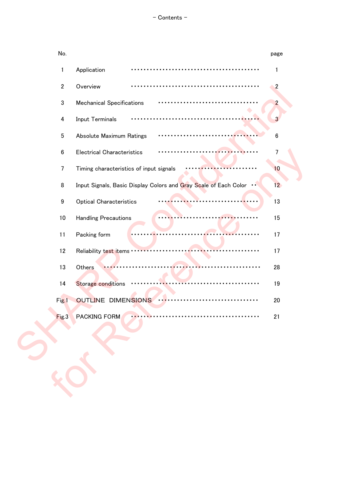| No.          |                                                                  | page            |
|--------------|------------------------------------------------------------------|-----------------|
| 1            | Application                                                      | 1               |
| $\mathbf{2}$ | Overview<br>.                                                    | $\overline{2}$  |
| 3            | <b>Mechanical Specifications</b>                                 | $\overline{2}$  |
| 4            | Input Terminals                                                  | 3               |
| $\bf 5$      | Absolute Maximum Ratings                                         | $\bf 6$         |
| 6            | <b>Electrical Characteristics</b>                                | $\overline{7}$  |
| 7            | Timing characteristics of input signals                          | 10              |
| 8            | Input Signals, Basic Display Colors and Gray Scale of Each Color | 12 <sub>2</sub> |
| 9            | <b>Optical Characteristics</b>                                   | 13              |
| 10           | <b>Handling Precautions</b>                                      | 15              |
| 11           | Packing form                                                     | 17              |
| 12           | Reliability test items                                           | 17              |
| 13           | Others                                                           | 28              |
| 14           | Storage conditions                                               | 19              |
| Fig.1        | <b>OUTLINE DIMENSIONS</b>                                        | 20              |
| Fig.3        | <b>PACKING FORM</b>                                              | 21              |
|              |                                                                  |                 |
|              |                                                                  |                 |
|              |                                                                  |                 |
|              |                                                                  |                 |
|              |                                                                  |                 |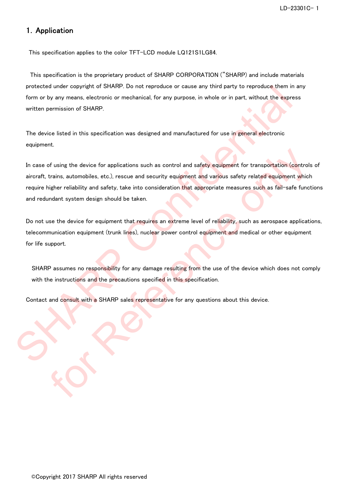### 1.Application

This specification applies to the color TFT-LCD module LQ121S1LG84.

 This specification is the proprietary product of SHARP CORPORATION ("SHARP) and include materials protected under copyright of SHARP. Do not reproduce or cause any third party to reproduce them in any form or by any means, electronic or mechanical, for any purpose, in whole or in part, without the express written permission of SHARP.

The device listed in this specification was designed and manufactured for use in general electronic equipment.

In case of using the device for applications such as control and safety equipment for transportation (controls of aircraft, trains, automobiles, etc.), rescue and security equipment and various safety related equipment which require higher reliability and safety, take into consideration that appropriate measures such as fail-safe functions and redundant system design should be taken. protected under copyright of SHARP. Do not reproduce or cause any third party to reproduce them in any<br>form or by any means, electronic or mechanical, for any purpose, in whole or in part, without the express<br>written permi of using the device for applications such as control and safety equipment for transportation (control<br>trains, automobiles, etc.), rescue and security equipment and various safety related equipment which<br>trains, automobiles

Do not use the device for equipment that requires an extreme level of reliability, such as aerospace applications, telecommunication equipment (trunk lines), nuclear power control equipment and medical or other equipment for life support.

SHARP assumes no responsibility for any damage resulting from the use of the device which does not comply with the instructions and the precautions specified in this specification.

Contact and consult with a SHARP sales representative for any questions about this device.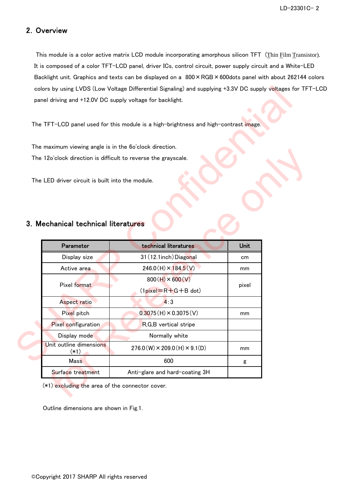## 2.Overview

 This module is a color active matrix LCD module incorporating amorphous silicon TFT (Thin Film Transistor). It is composed of a color TFT-LCD panel, driver ICs, control circuit, power supply circuit and a White-LED Backlight unit. Graphics and texts can be displayed on a 800 × RGB × 600dots panel with about 262144 colors colors by using LVDS (Low Voltage Differential Signaling) and supplying +3.3V DC supply voltages for TFT-LCD panel driving and +12.0V DC supply voltage for backlight.

## 3.Mechanical technical literatures

| colors by using LVDS (Low Voltage Differential Signaling) and supplying +3.3V DC supply voltages for TF1 |                                                                                      |          |  |
|----------------------------------------------------------------------------------------------------------|--------------------------------------------------------------------------------------|----------|--|
|                                                                                                          | panel driving and +12.0V DC supply voltage for backlight.                            |          |  |
|                                                                                                          | The TFT-LCD panel used for this module is a high-brightness and high-contrast image. |          |  |
| The maximum viewing angle is in the 6o'clock direction.                                                  |                                                                                      |          |  |
|                                                                                                          | The 12o'clock direction is difficult to reverse the grayscale.                       |          |  |
| The LED driver circuit is built into the module.                                                         |                                                                                      |          |  |
|                                                                                                          |                                                                                      |          |  |
|                                                                                                          |                                                                                      |          |  |
| Parameter                                                                                                | technical literatures                                                                | Unit     |  |
| 3. Mechanical technical literatures<br>Display size<br>Active area                                       | 31 (12.1 inch) Diagonal<br>$246.0(H) \times 184.5(V)$                                | cm<br>mm |  |
| Pixel format                                                                                             | $800(H) \times 600(V)$<br>$(1$ pixel= $R + G + B$ dot)                               | pixel    |  |
| Aspect ratio                                                                                             | 4:3                                                                                  |          |  |
| Pixel pitch                                                                                              | $0.3075(H) \times 0.3075(V)$                                                         | mm       |  |
| Pixel configuration                                                                                      | R, G, B vertical stripe                                                              |          |  |
| Display mode                                                                                             | Normally white                                                                       |          |  |
| Unit outline dimensions<br>$(*1)$                                                                        | $276.0(W) \times 209.0(H) \times 9.1(D)$                                             | mm       |  |
| Mass                                                                                                     | 600                                                                                  | g        |  |

Outline dimensions are shown in Fig.1.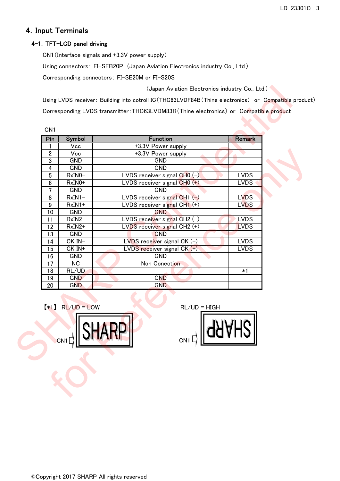## 4.Input Terminals

### 4-1. TFT-LCD panel driving

CN1(Interface signals and +3.3V power supply)

Using connectors: FI-SEB20P (Japan Aviation Electronics industry Co., Ltd.)

Corresponding connectors: FI-SE20M or FI-S20S

| Pin              | Symbol                  | <b>Function</b>                 | <b>Remark</b> |
|------------------|-------------------------|---------------------------------|---------------|
| 1                | $\overline{\text{Vec}}$ | +3.3V Power supply              |               |
| $\overline{2}$   | Vcc                     | +3.3V Power supply              |               |
| $\mathbf 3$      | <b>GND</b>              | <b>GND</b>                      |               |
| 4                | <b>GND</b>              | <b>GND</b>                      |               |
| $\overline{5}$   | RxIN0-                  | LVDS receiver signal $CHO(-)$   | <b>LVDS</b>   |
| $\boldsymbol{6}$ | $RxIN0+$                | LVDS receiver signal CHO (+)    | <b>LVDS</b>   |
| $\overline{7}$   | <b>GND</b>              | <b>GND</b>                      |               |
| 8                | $RxIN1-$                | LVDS receiver signal CH1 (-)    | <b>LVDS</b>   |
| 9                | $RxIN1+$                | LVDS receiver signal CH1 (+)    | <b>LVDS</b>   |
| 10               | <b>GND</b>              | <b>GND</b>                      |               |
| 11               | RxIN2-                  | LVDS receiver signal CH2 $(-)$  | <b>LVDS</b>   |
| 12               | RxIN2+                  | LVDS receiver signal CH2 (+)    | <b>LVDS</b>   |
| 13               | <b>GND</b>              | <b>GND</b>                      |               |
| 14               | CK IN-                  | $LVDS$ receiver signal CK $(-)$ | <b>LVDS</b>   |
| 15               | CK IN+                  | LVDS receiver signal $CK$ $(+)$ | <b>LVDS</b>   |
| 16               | <b>GND</b>              | <b>GND</b>                      |               |
| 17               | <b>NC</b>               | Non Conection                   |               |
| 18               | RL/UD                   |                                 | $*1$          |
| 19               | <b>GND</b>              | <b>GND</b>                      |               |
| 20               | <b>GND</b>              | <b>GND</b>                      |               |
|                  | $*1$ RL/UD = LOW        | $RL/UD = HIGH$                  |               |
|                  | CN <sub>1</sub>         | CN <sub>1</sub>                 |               |



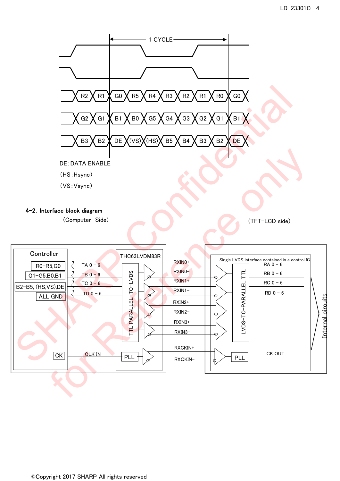

©Copyright 2017 SHARP All rights reserved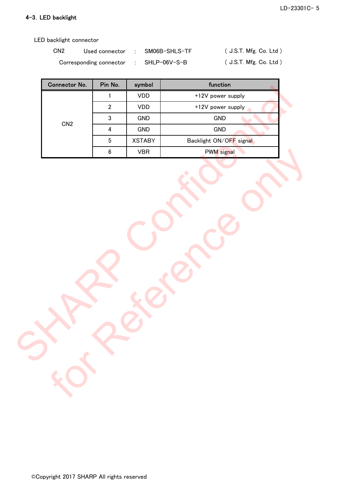### 4-3.LED backlight

LED backlight connector

| CN <sub>2</sub> | Used connector          | SM06B-SHLS-TF | (J.S.T. Mfg. Co. Ltd.)  |
|-----------------|-------------------------|---------------|-------------------------|
|                 | Corresponding connector | SHLP-06V-S-B  | ( J.S.T. Mfg. Co. Ltd ) |

| Connector No. | Pin No.                 | symbol        | function                |  |
|---------------|-------------------------|---------------|-------------------------|--|
|               | $\mathbf{1}$            | VDD           | +12V power supply       |  |
|               | $\overline{2}$          | VDD           | +12V power supply       |  |
| CN2           | $\mathbf{3}$            | GND           | GND                     |  |
|               | $\overline{\mathbf{4}}$ | GND           | GND                     |  |
|               | $5\,$                   | <b>XSTABY</b> | Backlight ON/OFF signal |  |
|               | $\boldsymbol{6}$        | ${\sf VBR}$   | <b>PWM</b> signal       |  |
|               |                         |               |                         |  |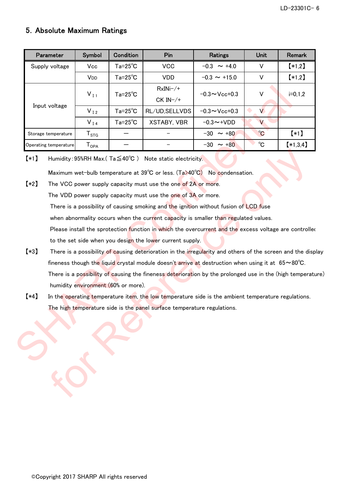## 5.Absolute Maximum Ratings

| Parameter             | Symbol                       | Condition          | Pin                | Ratings                         |                      | <b>Remark</b> |
|-----------------------|------------------------------|--------------------|--------------------|---------------------------------|----------------------|---------------|
| Supply voltage        | Vcc                          | $Ta = 25^{\circ}C$ | <b>VCC</b>         | $-0.3 \sim +4.0$                | V                    | $*1,2]$       |
|                       | V <sub>DD</sub>              | $Ta = 25^{\circ}C$ | <b>VDD</b>         | $-0.3 \sim +15.0$               | V                    | $*1,2]$       |
|                       |                              | $Ta = 25^{\circ}C$ | $RxINi-/+$         | $-0.3 \sim$ Vcc+0.3             | V                    |               |
|                       | $V_{I1}$                     |                    | $CK IN-/+$         |                                 |                      | $i=0,1,2$     |
| Input voltage         | $V_{I2}$                     | $Ta = 25^{\circ}C$ | RL/UD, SELLVDS     | $-0.3 \sim$ Vcc+0.3             | V                    |               |
|                       | $V_{I4}$                     | $Ta = 25^{\circ}C$ | <b>XSTABY, VBR</b> | $-0.3 \rightarrow + \text{VDD}$ | V                    |               |
| Storage temperature   | ${\mathsf T}_{\texttt{STG}}$ |                    |                    | $-30 \sim +80$                  | $\mathrm{C}^{\circ}$ | $*1)$         |
| Operating temperature | ${\mathsf T}_{\mathsf{OPA}}$ |                    |                    | $-30 \sim +80$                  | $^{\circ}C$          | $*1,3,4]$     |

【\*1】 Humidity:95%RH Max.( Ta≦40℃ ) Note static electricity.

Maximum wet-bulb temperature at 39℃ or less. (Ta>40℃) No condensation.

- 【\*2】 The VCC power supply capacity must use the one of 2A or more. The VDD power supply capacity must use the one of 3A or more. **[\*3]** There is a possibility of causing deterioration in the irregularity and others of the screen and the display to the set side when you design the lower current supply. There is a possibility of causing smoking and the ignition without fusion of LCD fuse when abnormality occurs when the current capacity is smaller than regulated values. Please install the sprotection function in which the overcurrent and the excess voltage are controlled Shows there are not a state of the model of the set of the set of the set of the set of the set of the set of the set of the set of the set of the set of the set of the set of the set of the set of the set of the set of t Humidity: 99%RH Max( $Ta \leq 40^{\circ}$ C) Note static electricity.<br>
Maximum wet-bulb temperature at 39°C or less. ( $Ta \geq 40^{\circ}$ C) No condensation.<br>
The VCC power supply capacity must use the one of 2A or more.<br>
The VCC power
	- fineness though the liquid crystal module doesn't arrive at destruction when using it at  $65~\text{~}80^{\circ}\text{C}$ . There is a possibility of causing the fineness deterioration by the prolonged use in the (high temperature) humidity environment (60% or more).
	- **[\*4]** In the operating temperature item, the low temperature side is the ambient temperature regulations. The high temperature side is the panel surface temperature regulations.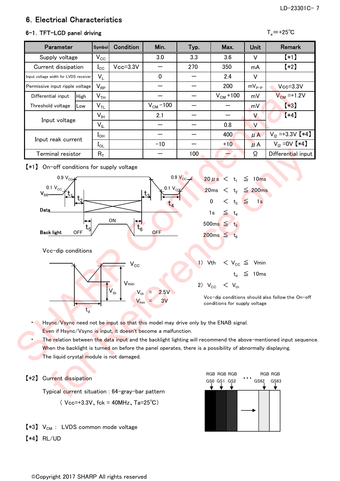## LD-23301C- 7

## 6.Electrical Characteristics

## 6-1. TFT-LCD panel driving  $T_a$ =+25<sup>°</sup>C

| Parameter                             |      | <b>Symboll</b>             | <b>Condition</b> | Min.         | Typ. | Max.          | Unit       | Remark                |
|---------------------------------------|------|----------------------------|------------------|--------------|------|---------------|------------|-----------------------|
| Supply voltage                        |      | $V_{\rm CC}$               |                  | 3.0          | 3.3  | 3.6           | V          | $[*1]$                |
| Current dissipation                   |      | $I_{\rm CC}$               | $Vcc = 3.3V$     |              | 270  | 350           | mA         | $*2]$                 |
| Input voltage width for LVDS receiver |      | $V_L$                      |                  | $\mathbf{0}$ |      | 2.4           | v          |                       |
| Permissive input ripple voltage       |      | $\mathsf{V}_{\mathsf{RP}}$ |                  |              |      | 200           | $mV_{P-P}$ | $Vcc = 3.3V$          |
| Differential input                    | High | $\mathsf{V}_{\mathsf{TH}}$ |                  |              |      | $V_{CM}$ +100 | mV         | $V_{CM}$ =+1.2V       |
| Threshold voltage                     | Low  | $\mathsf{V}_{\mathsf{TL}}$ |                  | $VCM - 100$  |      |               | mV         | $*3)$                 |
|                                       |      | $\mathsf{V}_{\mathsf{IH}}$ |                  | 2.1          |      |               | V          | $(*4)$                |
| Input voltage                         |      | $V_{IL}$                   |                  |              |      | 0.8           | $\vee$     |                       |
|                                       |      | $I_{OH}$                   |                  |              |      | 400           | $\mu$ A    | $V_{12} = +3.3V$ [*4] |
| Input reak current                    |      | $I_{OL}$                   |                  | $-10$        |      | $+10$         | $\mu$ A    | $V_{12} = 0V$ [*4]    |
| Terminal resistor                     |      | $R_T$                      |                  |              | 100  |               | Ω          | Differential input    |

【\*1】 On-off conditions for supply voltage



Hsync/Vsync need not be input so that this model may drive only by the ENAB signal.

Even if Hsync/Vsync is input, it doesn't become a malfunction.

The relation between the data input and the backlight lighting will recommend the above-mentioned input sequence. When the backlight is turned on before the panel operates, there is a possibility of abnormally displaying. The liquid crystal module is not damaged.

### 【\*2】 Current dissipation

Typical current situation : 64-gray-bar pattern  $($  Vcc=+3.3V, fck = 40MHz, Ta=25°C)

- $[*3]$  V<sub>CM</sub> : LVDS common mode voltage
- 【\*4】 RL/UD

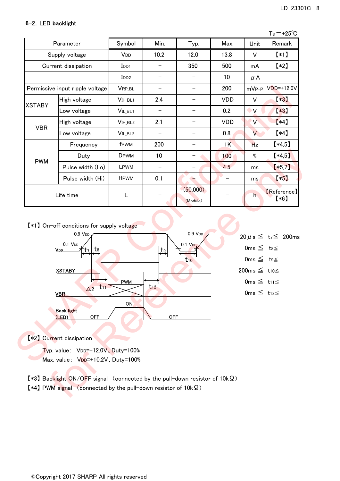### 6-2.LED backlight

|                                                                                                                                                                                             |                                                                                                                                          |                    |                          |                                            |            |                                                                                          | $Ta = +25^{\circ}C$             |
|---------------------------------------------------------------------------------------------------------------------------------------------------------------------------------------------|------------------------------------------------------------------------------------------------------------------------------------------|--------------------|--------------------------|--------------------------------------------|------------|------------------------------------------------------------------------------------------|---------------------------------|
|                                                                                                                                                                                             | Parameter                                                                                                                                | Symbol             | Min.                     | Typ.                                       | Max.       | Unit                                                                                     | Remark                          |
|                                                                                                                                                                                             | Supply voltage                                                                                                                           | V <sub>DD</sub>    | 10.2                     | 12.0                                       | 13.8       | V                                                                                        | $*1$                            |
|                                                                                                                                                                                             | Current dissipation                                                                                                                      | $I$ <sub>DD1</sub> | $\overline{\phantom{0}}$ | 350                                        | 500        | mA                                                                                       | $(*2)$                          |
|                                                                                                                                                                                             |                                                                                                                                          | $I$ <sub>DD2</sub> | $\overline{\phantom{0}}$ |                                            | 10         | $\mu$ A                                                                                  |                                 |
|                                                                                                                                                                                             | Permissive input ripple voltage                                                                                                          | VRP_BL             |                          | -                                          | 200        | $mVP-P$                                                                                  | $VDD=+12.0V$                    |
|                                                                                                                                                                                             | High voltage                                                                                                                             | VIH BL1            | 2.4                      | -                                          | <b>VDD</b> | V                                                                                        | $*3]$                           |
| <b>XSTABY</b>                                                                                                                                                                               | Low voltage                                                                                                                              | VIL_BL1            | $\qquad \qquad -$        | $\qquad \qquad -$                          | 0.2        | $\mathsf{V}$                                                                             | $*3)$                           |
|                                                                                                                                                                                             | High voltage                                                                                                                             | VIH_BL2            | 2.1                      | -                                          | <b>VDD</b> | $\vee$                                                                                   | $*4)$                           |
| <b>VBR</b>                                                                                                                                                                                  | Low voltage                                                                                                                              | VIL_BL2            | -                        |                                            | 0.8        | V                                                                                        | $*4]$                           |
|                                                                                                                                                                                             | Frequency                                                                                                                                | fPWM               | 200                      |                                            | 1K         | <b>Hz</b>                                                                                | $*4,5]$                         |
|                                                                                                                                                                                             | Duty                                                                                                                                     | <b>DPWM</b>        | 10                       |                                            | 100        | $\%$                                                                                     | $*4,5]$                         |
| <b>PWM</b>                                                                                                                                                                                  | Pulse width (Lo)                                                                                                                         | LPWM               |                          |                                            | 4.5        | ms                                                                                       | $*5,7$                          |
|                                                                                                                                                                                             | Pulse width (Hi)                                                                                                                         | <b>HPWM</b>        | 0.1                      | ╼                                          |            | ms                                                                                       | $*5$                            |
|                                                                                                                                                                                             | Life time                                                                                                                                | L                  |                          | (50,000)<br>(Module)                       |            | h                                                                                        | [Reference]<br>$*6$             |
|                                                                                                                                                                                             | [*1] On-off conditions for supply voltage<br>$0.9$ V <sub>DD</sub> $\angle$<br>0.1 V <sub>DD</sub><br><u>Voo.</u><br>T8<br><b>XSTABY</b> |                    | $_{\rm t_9}$             | 0.9 VDD<br>0.1 V <sub>DD</sub><br>$t_{10}$ |            | Oms $\leq$ t <sub>8</sub><br>Oms $\leq$ t <sub>9</sub> $\leq$<br>200ms $\leq$ t10 $\leq$ | $20 \mu s \leq t_7 \leq 200$ ms |
| $0 \text{ms} \leqq$ t <sub>11</sub><br><b>PWM</b><br>$\mathsf{L}11$<br>L12<br>$\Delta$ 2<br>$0ms \leq t_{12}$<br><b>VBR</b><br>ON<br><b>Back light</b><br><b>OFF</b><br><b>OFF</b><br>(LED) |                                                                                                                                          |                    |                          |                                            |            |                                                                                          |                                 |
|                                                                                                                                                                                             | [*2] Current dissipation                                                                                                                 |                    |                          |                                            |            |                                                                                          |                                 |
| Typ. value: VDD=+12.0V、Duty=100%                                                                                                                                                            |                                                                                                                                          |                    |                          |                                            |            |                                                                                          |                                 |
|                                                                                                                                                                                             | Max. value: VDD=+10.2V, Duty=100%                                                                                                        |                    |                          |                                            |            |                                                                                          |                                 |



【\*3】 Backlight ON/OFF signal (connected by the pull-down resistor of 10kΩ)

【\*4】 PWM signal (connected by the pull-down resistor of 10kΩ)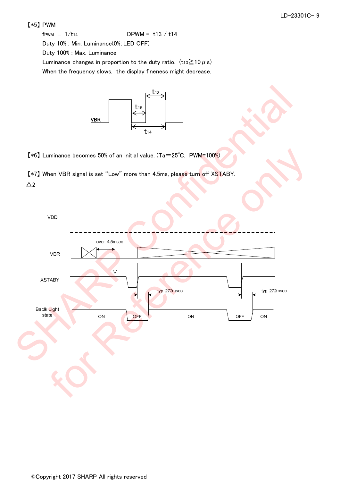### 【\*5】 PWM

 $f$ PWM =  $1/t_{14}$  DPWM = t13 / t14

Duty 10% : Min. Luminance(0%:LED OFF)

Duty 100% : Max. Luminance

Luminance changes in proportion to the duty ratio. (t13 $\geq$ 10  $\mu$  s)

When the frequency slows, the display fineness might decrease.



【\*6】 Luminance becomes 50% of an initial value. (Ta=25℃, PWM=100%)

【\*7】 When VBR signal is set "Low" more than 4.5ms, please turn off XSTABY.  $\Delta$ 2

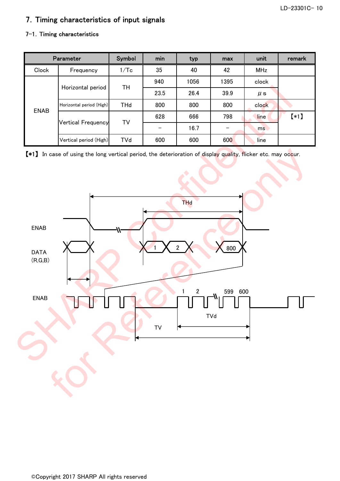## 7.Timing characteristics of input signals

### 7-1. Timing characteristics

|             | <b>Parameter</b>         | Symbol     | min  | typ  | max  | unit       | remark |
|-------------|--------------------------|------------|------|------|------|------------|--------|
| Clock       | Frequency                | 1/Tc       | 35   | 40   | 42   | <b>MHz</b> |        |
|             | Horizontal period        | TН         | 940  | 1056 | 1395 | clock      |        |
|             |                          |            | 23.5 | 26.4 | 39.9 | $\mu$ s    |        |
|             | Horizontal period (High) | <b>THd</b> | 800  | 800  | 800  | clock      |        |
| <b>ENAB</b> | Vertical Frequency       |            | 628  | 666  | 798  | line       | $(*1)$ |
|             |                          | T٧         |      | 16.7 |      | ms         |        |
|             | Vertical period (High)   | <b>TVd</b> | 600  | 600  | 600  | line       |        |

【\*1】 In case of using the long vertical period, the deterioration of display quality, flicker etc. may occur.

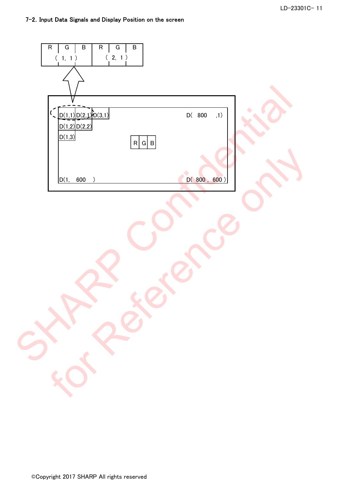| $\sf B$<br>${\sf R}$<br>$\sf B$<br>R<br>G<br>G<br>(2, 1)<br>$(\phantom{-}1,\phantom{-}1\phantom{1})$ |
|------------------------------------------------------------------------------------------------------|
|                                                                                                      |
| $\sqrt{\frac{D(1,1)}{D(2,1)}}$<br>$D($ 800<br>,1)<br>D(1,2)D(2,2)                                    |
| D(1,3)<br>R G B                                                                                      |
| D(800, 600)<br>600<br>D(1,<br>$\rightarrow$                                                          |
|                                                                                                      |
|                                                                                                      |
|                                                                                                      |
| $\blacktriangledown$                                                                                 |
|                                                                                                      |
|                                                                                                      |
|                                                                                                      |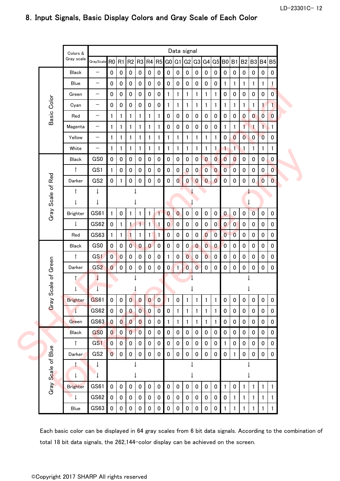|  |                    | Colors &                   | Data signal                    |                         |                |                  |                |                |                |              |              |              |                |                |                |                |                |                                  |                |                |                  |  |
|--|--------------------|----------------------------|--------------------------------|-------------------------|----------------|------------------|----------------|----------------|----------------|--------------|--------------|--------------|----------------|----------------|----------------|----------------|----------------|----------------------------------|----------------|----------------|------------------|--|
|  |                    | Gray scale                 | GrayScale RO R1 R2 R3 R4 R5 GO |                         |                |                  |                |                |                |              |              |              |                |                |                |                |                | G1 G2 G3 G4 G5 B0 B1 B2 B3 B4 B5 |                |                |                  |  |
|  |                    | <b>Black</b>               | $\qquad \qquad -$              | $\pmb{0}$               | $\pmb{0}$      | $\pmb{0}$        | $\mathbf 0$    | $\pmb{0}$      | $\pmb{0}$      | $\bf{0}$     | $\pmb{0}$    | $\bf{0}$     | $\pmb{0}$      | $\pmb{0}$      | 0              | $\pmb{0}$      | $\pmb{0}$      | $\pmb{0}$                        | $\pmb{0}$      | $\pmb{0}$      | $\pmb{0}$        |  |
|  | Basic Color        | Blue                       | —                              | $\mathbf 0$             | $\pmb{0}$      | $\pmb{0}$        | $\pmb{0}$      | $\mathbf 0$    | $\pmb{0}$      | $\mathbf 0$  | $\mathbf 0$  | $\mathbf 0$  | $\pmb{0}$      | $\pmb{0}$      | $\pmb{0}$      | $\mathbf{1}$   | 1              | 1                                | 1              | 1              | 1                |  |
|  |                    | Green                      | $\overline{\phantom{m}}$       | $\mathbf 0$             | 0              | $\mathbf 0$      | 0              | $\mathbf 0$    | $\pmb{0}$      | 1            | 1            | 1            | 1              | 1              | 1              | 0              | 0              | 0                                | $\mathbf 0$    | 0              | $\overline{0}$   |  |
|  |                    | Cyan                       | $\overline{\phantom{m}}$       | $\mathbf 0$             | $\pmb{0}$      | $\pmb{0}$        | 0              | $\pmb{0}$      | $\pmb{0}$      | 1            | 1            | 1            | 1              | 1              | 1              | 1              | 1              | 1                                | $\mathbf{1}$   | 1.             | $\mathbf{L}$     |  |
|  |                    | Red                        | $\overline{\phantom{m}}$       | 1                       | 1              | 1                | 1              | 1              | 1              | $\mathbf 0$  | $\pmb{0}$    | 0            | $\mathbf 0$    | $\mathbf 0$    | $\mathbf 0$    | $\pmb{0}$      | $\pmb{0}$      | $\bf{0}$                         | $\mathbf{0}$   | $\overline{0}$ | $\boldsymbol{0}$ |  |
|  |                    | Magenta                    | —                              | 1                       | 1              | 1                | 1              | 1              | $\mathbf{1}$   | 0            | 0            | 0            | $\mathbf 0$    | 0              | 0              | 1              | $\mathbf{1}$   | $\mathbf{1}$                     | $\mathbf{1}$   | 1              | 1                |  |
|  |                    | Yellow                     | $\overline{\phantom{m}}$       | 1                       | 1              | 1                | 1              | 1              | 1              | 1            | 1            | 1            | 1              | 1              | 1              | $\pmb{0}$      | $\overline{0}$ | $\overline{0}$                   | $\pmb{0}$      | $\overline{0}$ | $\pmb{0}$        |  |
|  |                    | White                      | $\overline{\phantom{m}}$       | 1                       | 1              | 1                | 1              | 1              | 1              | 1            | 1            | 1            | 1              | 1              | 1.             | 1              | 1              | $\mathbf{1}$                     | 1              | 1              | 1                |  |
|  |                    | <b>Black</b>               | GS0                            | $\mathbf 0$             | $\mathbf 0$    | $\boldsymbol{0}$ | 0              | $\mathbf 0$    | $\pmb{0}$      | 0            | 0            | 0            | $\mathbf 0$    | $\overline{0}$ | $\overline{0}$ | $\overline{0}$ | $\overline{0}$ | 0                                | $\mathbf 0$    | $\pmb{0}$      | $\mathbf 0$      |  |
|  |                    | $\uparrow$                 | GS1                            | 1                       | $\pmb{0}$      | $\bf{0}$         | 0              | $\pmb{0}$      | $\pmb{0}$      | 0            | 0            | $\bf{0}$     | $\mathbf{0}$   | $\overline{0}$ | $\mathbf{0}$   | $\overline{0}$ | $\pmb{0}$      | 0                                | $\pmb{0}$      | $\pmb{0}$      | $\overline{0}$   |  |
|  |                    | Darker                     | GS <sub>2</sub>                | $\mathbf 0$             | $\mathbf{1}$   | $\pmb{0}$        | 0              | $\mathbf 0$    | $\pmb{0}$      | 0            | $\mathbf{0}$ | $\mathbf{0}$ | $\mathbf{0}$   | $\bf{0}$       | $\mathbf{0}$   | $\pmb{0}$      | $\pmb{0}$      | 0                                | $\mathbf{0}$   | $\bf{0}$       | $\overline{0}$   |  |
|  | Gray Scale of Red  | $\uparrow$                 | ↓                              |                         |                |                  |                |                |                |              |              |              |                |                |                |                |                |                                  |                |                |                  |  |
|  |                    | $\downarrow$               | T                              |                         |                |                  |                |                | $\downarrow$   |              |              |              |                |                |                |                |                |                                  |                |                |                  |  |
|  |                    | <b>Brighter</b>            | GS61                           | $\mathbf{1}$            | $\pmb{0}$      | 1                | 1              | 1              | $\overline{1}$ | $\mathbf{0}$ | $\mathbf{0}$ | $\mathbf 0$  | $\pmb{0}$      | $\pmb{0}$      | $\mathbf 0$    | $\pmb{0}$      | $\pmb{0}$      | $\pmb{0}$                        | $\overline{0}$ | $\mathbf 0$    | $\pmb{0}$        |  |
|  |                    | $\downarrow$               | <b>GS62</b>                    | $\mathbf 0$             | $\mathbf{1}$   | 1                | 1              | 1              | $\mathbf 1$    | $\mathbf{0}$ | $\pmb{0}$    | $\mathbf 0$  | $\mathbf 0$    | $\mathbf 0$    | $\overline{0}$ | $\mathbf{0}$   | $\overline{0}$ | 0                                | $\mathbf 0$    | $\mathbf 0$    | $\mathbf 0$      |  |
|  |                    | Red                        | GS63                           | 1                       | 1              | $\mathbf{1}$     | 1              | $\mathbf{1}$   | $\blacksquare$ | 0            | $\pmb{0}$    | $\pmb{0}$    | $\pmb{0}$      | $\overline{0}$ | $\overline{0}$ | $\mathbf{0}$   | $\overline{0}$ | 0                                | $\pmb{0}$      | $\pmb{0}$      | $\pmb{0}$        |  |
|  |                    | <b>Black</b>               | GS0                            | $\pmb{0}$               | $\pmb{0}$      | $\overline{0}$   | $\bf{0}$       | $\mathbf{0}$   | $\pmb{0}$      | 0            | 0            | $\mathbf{0}$ | $\bf{0}$       | $\overline{0}$ | $\mathbf{0}$   | $\bf{0}$       | $\pmb{0}$      | 0                                | $\pmb{0}$      | $\pmb{0}$      | $\pmb{0}$        |  |
|  |                    | ↑                          | GS1                            | $\overline{0}$          | $\overline{0}$ | $\pmb{0}$        | 0              | $\mathbf 0$    | $\bf{0}$       | 1            | 0            | $\bf{0}$     | $\mathbf 0$    | $\overline{0}$ | 0              | 0              | 0              | 0                                | $\pmb{0}$      | $\pmb{0}$      | $\mathbf 0$      |  |
|  |                    | Darker                     | GS <sub>2</sub>                | $\mathbf{0}$            | $\pmb{0}$      | $\pmb{0}$        | $\pmb{0}$      | $\pmb{0}$      | $\pmb{0}$      | $\mathbf{0}$ | $\mathbf{1}$ | $\bf{0}$     | $\overline{0}$ | $\pmb{0}$      | $\pmb{0}$      | $\pmb{0}$      | $\pmb{0}$      | $\pmb{0}$                        | $\pmb{0}$      | $\pmb{0}$      | $\pmb{0}$        |  |
|  | Scale of Green     | ↑<br>$\downarrow$          | $\downarrow$<br>↓              |                         |                |                  |                |                |                |              |              |              |                |                |                |                |                |                                  |                |                |                  |  |
|  |                    | <b>Brighter</b>            | GS61                           | $\pmb{0}$               | $\bf{0}$       | $\bf{0}$         | $\bf{0}$       | $\bf{0}$       | $\bf{0}$       |              | 0            |              |                |                |                | $\pmb{0}$      | $\mathbf 0$    | O                                | $\mathbf 0$    | $\mathbf 0$    | $\boldsymbol{0}$ |  |
|  | Gray               | $\downarrow$               | GS62                           | $\mathbf 0$             | $\mathbf 0$    | $\pmb{0}$        | $\overline{0}$ | $\overline{0}$ | $\overline{0}$ | $\mathbf 0$  | $\mathbf{1}$ | 1            | $\mathbf{1}$   | 1              | 1              | 0              | $\pmb{0}$      | 0                                | $\pmb{0}$      | $\mathbf 0$    | $\mathbf 0$      |  |
|  |                    | Green                      | GS63                           | $\overline{\mathbf{0}}$ | $\overline{0}$ | $\overline{0}$   | $\overline{0}$ | $\mathbf 0$    | $\bf{0}$       | $\mathbf{1}$ | 1            | 1            | 1              | 1              | 1              | $\pmb{0}$      | 0              | 0                                | $\pmb{0}$      | 0              | 0                |  |
|  |                    | <b>Black</b>               | GS <sub>0</sub>                | $\mathbf{0}$            | $\pmb{0}$      | $\overline{0}$   | $\overline{0}$ | $\bf{0}$       | $\pmb{0}$      | $\mathbf 0$  | $\pmb{0}$    | $\mathbf 0$  | $\pmb{0}$      | $\pmb{0}$      | 0              | 0              | $\pmb{0}$      | $\pmb{0}$                        | $\pmb{0}$      | $\mathbf 0$    | $\mathbf 0$      |  |
|  |                    | $\uparrow$                 | GS1                            | $\overline{0}$          | $\pmb{0}$      | $\pmb{0}$        | 0              | $\pmb{0}$      | $\pmb{0}$      | $\bf{0}$     | $\pmb{0}$    | $\mathbf 0$  | $\pmb{0}$      | $\pmb{0}$      | 0              | $\mathbf{1}$   | $\pmb{0}$      | $\pmb{0}$                        | $\pmb{0}$      | $\mathbf 0$    | $\pmb{0}$        |  |
|  |                    | Darker                     | GS <sub>2</sub>                | $\overline{0}$          | $\mathbf 0$    | $\pmb{0}$        | $\pmb{0}$      | $\mathbf 0$    | $\pmb{0}$      | $\mathbf 0$  | $\mathbf 0$  | $\mathbf 0$  | $\pmb{0}$      | $\pmb{0}$      | 0              | $\pmb{0}$      | $\mathbf{1}$   | $\pmb{0}$                        | $\pmb{0}$      | $\mathbf 0$    | $\bf{0}$         |  |
|  | Gray Scale of Blue | $\uparrow$<br>$\downarrow$ | ↓                              | ↓                       |                |                  |                |                |                |              | ↓            |              |                |                |                |                |                |                                  |                |                |                  |  |
|  |                    | <b>Brighter</b>            | GS61                           | $\mathbf 0$             | $\mathbf 0$    | $\mathbf 0$      | $\mathbf 0$    | $\bf{0}$       | $\pmb{0}$      | $\mathbf 0$  | $\pmb{0}$    | $\mathbf 0$  | $\pmb{0}$      | $\mathbf 0$    | $\mathbf 0$    | 1              | $\pmb{0}$      | $\mathbf{1}$                     | 1              | 1              | $\mathbf{1}$     |  |
|  |                    | $\overline{\phantom{0}}$   | GS62                           | $\mathbf 0$             | $\pmb{0}$      | $\bf{0}$         | $\mathbf 0$    | $\mathbf 0$    | $\pmb{0}$      | 0            | 0            | 0            | $\mathbf 0$    | $\pmb{0}$      | 0              | 0              | $\mathbf{1}$   | $\mathbf{1}$                     | 1              | 1              | 1                |  |
|  |                    | Blue                       | GS63                           | $\pmb{0}$               | $\pmb{0}$      | $\pmb{0}$        | 0              | $\pmb{0}$      | $\pmb{0}$      | 0            | $\pmb{0}$    | $\pmb{0}$    | $\pmb{0}$      | $\pmb{0}$      | 0              | 1              |                |                                  |                |                |                  |  |

## 8.Input Signals, Basic Display Colors and Gray Scale of Each Color

Each basic color can be displayed in 64 gray scales from 6 bit data signals. According to the combination of total 18 bit data signals, the 262,144-color display can be achieved on the screen.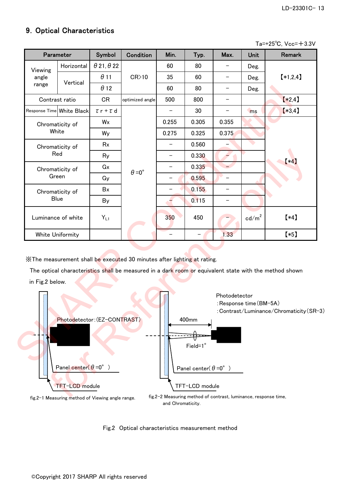## 9. Optical Characteristics

|                 | Parameter                    | Symbol                   | <b>Condition</b>                                                        | Min.  | Typ.              | Max.                                     | <b>Unit</b>       | Remark                                                                                                 |
|-----------------|------------------------------|--------------------------|-------------------------------------------------------------------------|-------|-------------------|------------------------------------------|-------------------|--------------------------------------------------------------------------------------------------------|
| Viewing         | Horizontal                   | $\theta$ 21, $\theta$ 22 |                                                                         | 60    | 80                |                                          | Deg.              |                                                                                                        |
| angle           |                              | $\theta$ 11              | CR > 10                                                                 | 35    | 60                | $\qquad \qquad -$                        | Deg.              | $*1,2,4$                                                                                               |
| range           | Vertical                     | $\theta$ 12              |                                                                         | 60    | 80                |                                          | Deg.              |                                                                                                        |
|                 | Contrast ratio               | <b>CR</b>                | optimized angle                                                         | 500   | 800               |                                          |                   | $*2,4]$                                                                                                |
|                 | Response Time White Black    | $\tau$ r + $\tau$ d      |                                                                         |       | 30                | $\qquad \qquad -$                        | ms                | $*3,4]$                                                                                                |
|                 | Chromaticity of              | Wx                       |                                                                         | 0.255 | 0.305             | 0.355                                    |                   |                                                                                                        |
|                 | White                        | Wy                       |                                                                         | 0.275 | 0.325             | 0.375                                    |                   |                                                                                                        |
|                 | Chromaticity of              | Rx                       |                                                                         |       | 0.560             |                                          |                   |                                                                                                        |
|                 | Red                          | Ry                       |                                                                         |       | 0.330             |                                          |                   |                                                                                                        |
|                 | Chromaticity of              | Gx                       |                                                                         | —     | 0.335             |                                          |                   | $(*4)$                                                                                                 |
|                 | Green                        | Gy                       | $\theta = 0^{\circ}$                                                    |       | 0.595             |                                          |                   |                                                                                                        |
|                 | Chromaticity of              | Bx                       |                                                                         |       | 0.155             |                                          |                   |                                                                                                        |
|                 | <b>Blue</b>                  | By                       |                                                                         |       | 0.115             | $\overline{\phantom{0}}$                 |                   |                                                                                                        |
|                 | Luminance of white           | $Y_{L1}$                 |                                                                         | 350   | 450               |                                          | $\mathsf{cd/m}^2$ | $*4]$                                                                                                  |
|                 | White Uniformity             |                          |                                                                         |       |                   | 1.33                                     |                   | $*5)$                                                                                                  |
| in Fig.2 below. |                              |                          | XThe measurement shall be executed 30 minutes after lighting at rating. |       |                   |                                          |                   | The optical characteristics shall be measured in a dark room or equivalent state with the method shown |
| I               | Photodetector: (EZ-CONTRAST) |                          |                                                                         |       | 400mm<br>Field=1° | Photodetector<br>: Response time (BM-5A) |                   | : Contrast/Luminance/Chromaticity (SR                                                                  |



and Chromaticity.

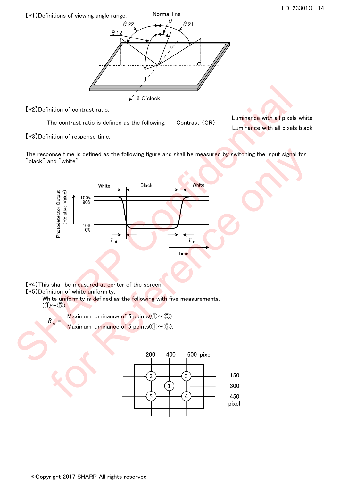

【\*2】Definition of contrast ratio:

The contrast ratio is defined as the following. Contrast  $(CR) =$  Luminance with all pixels white Luminance with all pixels black

【\*3】Definition of response time:

The response time is defined as the following figure and shall be measured by switching the input signal for "black" and "white".



【\*4】This shall be measured at center of the screen.

【\*5】Definition of white uniformity:

White uniformity is defined as the following with five measurements.

 $(1) \sim 5$ 

 $\delta_w = \frac{\text{Maximum luminance of 5 points} (0 \sim 6) \text{.}}{\text{Maximum luminance of 5 points} (0 \sim 6) \text{.}}$ 

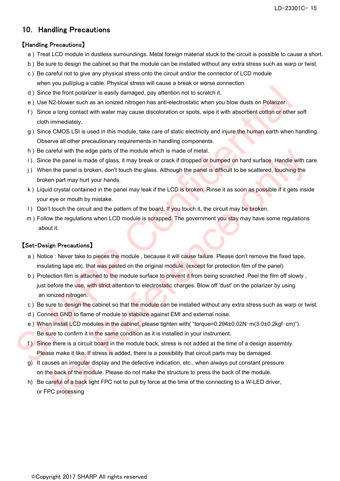LD-23301C- 15

## 10. Handling Precautions

### 【Handling Precautions】

- a ) Treat LCD module in dustless surroundings. Metal foreign material stuck to the circuit is possible to cause a short.
- b ) Be sure to design the cabinet so that the module can be installed without any extra stress such as warp or twist.
- c ) Be careful not to give any physical stress onto the circuit and/or the connector of LCD module when you pull/plug a cable. Physical stress will cause a break or worse connection.
- d ) Since the front polarizer is easily damaged, pay attention not to scratch it.
- e ) Use N2-blower such as an ionized nitrogen has anti-electrostatic when you blow dusts on Polarizer.
- f ) Since a long contact with water may cause discoloration or spots, wipe it with absorbent cotton or other soft cloth immediately.
- g ) Since CMOS LSI is used in this module, take care of static electricity and injure the human earth when handling. Observe all other precautionary requirements in handling components.
- h ) Be careful with the edge parts of the module which is made of metal.
- i) Since the panel is made of glass, it may break or crack if dropped or bumped on hard surface. Handle with care.
- j) When the panel is broken, don't touch the glass. Although the pa<mark>n</mark>el is difficult to be scattered, touching the broken part may hurt your hands.
- k ) Liquid crystal contained in the panel may leak if the LCD is broken. Rinse it as soon as possible if it gets inside your eye or mouth by mistake.
- l) Don't touch the circuit and the pattern of the board. If you touch it, the circuit may be broken.
- m) Follow the regulations when LCD module is scrapped. The government you stay may have some regulations about it.

### 【Set-Design Precautions】

- a) Notice : Never take to pieces the module , because it will cause failure. Please don't remove the fixed tape, insulating tape etc. that was pasted on the original module. (except for protection film of the panel)
- b) Protection film is attached to the module surface to prevent it from being scratched .Peel the film off slowly , just before the use, with strict attention to electrostatic charges. Blow off 'dust' on the polarizer by using an ionized nitrogen. (a) Since the front polarizer is easily damaged, pay attention not to scribb it.<br>
(a) Since the front polarizer is easily damaged, pay attention not to scribb it.<br>
(e) Use N2-blower such as a mointaxe introduce polarize in careful with the edge parts of the module which is made of metal.<br>The parts of the parts of degrass, it may break or crack if dropped on hard surface. Handle with ce the panel is mode of glass, it may be glass. Although th
	- c ) Be sure to design the cabinet so that the module can be installed without any extra stress such as warp or twist.
	- d ) Connect GND to flame of module to stabilize against EMI and external noise.
	- e ) When install LCD modules in the cabinet, please tighten with( "torque=0.294±0.02N・m(3.0±0.2kgf・cm)"). Be sure to confirm it in the same condition as it is installed in your instrument.
	- f) Since there is a circuit board in the module back, stress is not added at the time of a design assembly. Please make it like. If stress is added, there is a possibility that circuit parts may be damaged.
	- g) It causes an irregul<mark>a</mark>r display and the defective indication, etc., when always put constant pressure on the back of the module. Please do not make the structure to press the back of the module.
	- h) Be careful of a back light FPC not to pull by force at the time of the connecting to a W-LED driver, or FPC processing.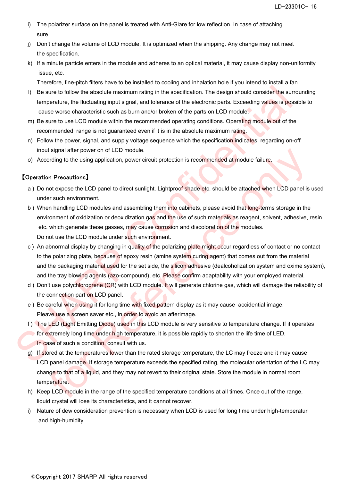- i) The polarizer surface on the panel is treated with Anti-Glare for low reflection. In case of attaching sure
- j) Don't change the volume of LCD module. It is optimized when the shipping. Any change may not meet the specification.
- k) If a minute particle enters in the module and adheres to an optical material, it may cause display non-uniformity issue, etc.

Therefore, fine-pitch filters have to be installed to cooling and inhalation hole if you intend to install a fan.

- l) Be sure to follow the absolute maximum rating in the specification. The design should consider the surrounding temperature, the fluctuating input signal, and tolerance of the electronic parts. Exceeding values is possible to cause worse characteristic such as burn and/or broken of the parts on LCD module.
- m) Be sure to use LCD module within the recommended operating conditions. Operating module out of the recommended range is not guaranteed even if it is in the absolute maximum rating.
- n) Follow the power, signal, and supply voltage sequence which the specification indicates, regarding on-off input signal after power on of LCD module.
- o) According to the using application, power circuit protection is recommended at module failure.

### 【Operation Precautions】

- a ) Do not expose the LCD panel to direct sunlight. Lightproof shade etc. should be attached when LCD panel is used under such environment.
- b ) When handling LCD modules and assembling them into cabinets, please avoid that long-terms storage in the environment of oxidization or deoxidization gas and the use of such materials as reagent, solvent, adhesive, resin, etc. which generate these gasses, may cause corrosion and discoloration of the modules. Do not use the LCD module under such environment.
- c) An abnormal display by changing in quality of the polarizing plate might occur regardless of contact or no contact to the polarizing plate, because of epoxy resin (amine system curing agent) that comes out from the material and the packaging material used for the set side, the silicon adhesive (dealcoholization system and oxime system), and the tray blowing agents (azo-compound), etc. Please confirm adaptability with your employed material. (i) Be sure to follow the absolute maximum rating in the specification. The design should consider the surrounnermentation, the fluctuating imput signal, and tolerance of the electronic parts. Exceeding values is possible ti signal after power on of LCD module.<br>
In Precautions I<br>
ording to the using application, power circuit protection is recommended at module failure.<br>
In Precautions I<br>
or the supplication of consideration gas and the usi
	- d ) Don't use polychloroprene (CR) with LCD module. It will generate chlorine gas, which will damage the reliability of the connection part on LCD panel.
	- e ) Be careful when using it for long time with fixed pattern display as it may cause accidential image. Pleave use a screen saver etc., in order to avoid an afterimage.
	- f ) The LED (Light Emitting Diode) used in this LCD module is very sensitive to temperature change. If it operates for extremely long time under high temperature, it is possible rapidly to shorten the life time of LED. In case of such a condition, consult with us.
	- g) If stored at the temperatures lower than the rated storage temperature, the LC may freeze and it may cause LCD panel damage. If storage temperature exceeds the specified rating, the molecular orientation of the LC may change to that of a liquid, and they may not revert to their original state. Store the module in normal room temperature.
	- h) Keep LCD module in the range of the specified temperature conditions at all times. Once out of the range, liquid crystal will lose its characteristics, and it cannot recover.
	- i) Nature of dew consideration prevention is necessary when LCD is used for long time under high-temperatur and high-humidity.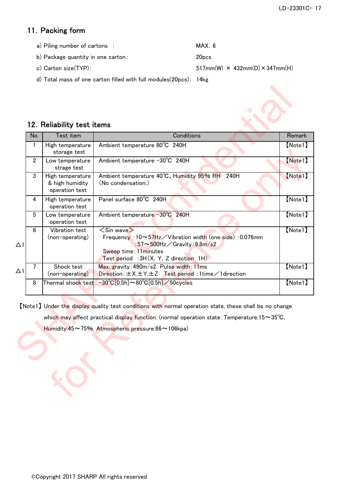## 11. Packing form

- a) Piling number of cartons : MAX. 6
- b) Package quantity in one carton: 20pcs
- c) Carton size(TYP):  $517mm(W) \times 432mm(D) \times 347mm(H)$

d) Total mass of one carton filled with full modules(20pcs): 14kg

## 12. Reliability test items

| No.            | Test item                                             | Conditions                                                                                                                                                                                                                      | Remark  |
|----------------|-------------------------------------------------------|---------------------------------------------------------------------------------------------------------------------------------------------------------------------------------------------------------------------------------|---------|
| $\mathbf{1}$   | High temperature<br>storage test                      | Ambient temperature 80°C 240H                                                                                                                                                                                                   | [Note1] |
| $\overline{2}$ | Low temperature<br>strage test                        | Ambient temperature -30°C 240H                                                                                                                                                                                                  | [Note1] |
| 3              | High temperature<br>& high humidity<br>operation test | Ambient temperature 40°C, Humidity 95% RH 240H<br>(No condensation.)                                                                                                                                                            | [Note1] |
| 4              | High temperature<br>operation test                    | Panel surface 80°C 240H                                                                                                                                                                                                         | [Note1] |
| 5              | Low temperature<br>operation test                     | Ambient temperature -30°C 240H                                                                                                                                                                                                  | [Note1] |
| 6              | Vibration test<br>(non-operating)                     | $\langle$ Sin wave $\rangle$<br>Frequency: $10 \sim 57$ Hz $\diagup$ Vibration width (one side): 0.076mm<br>:57 $\sim$ 500Hz $\angle$ Gravity:9.8m/s2<br>Sweep time: 11 minutes<br>Test period : $3H(X, Y, Z)$ direction $1H$ . | [Note1] |
| 7              | Shock test<br>(non-operating)                         | Max. gravity: 490m/s2 Pulse width: 11ms<br>Direction: $\pm$ X, $\pm$ Y, $\pm$ Z Test period: 1 time / 1 direction                                                                                                               | [Note1] |
| 8              | Thermal shock test                                    | $-30^{\circ}$ C[0.5h] $\sim$ 80 $^{\circ}$ C[0.5h] $\angle$ 50cycles                                                                                                                                                            | [Note1] |
|                |                                                       | [Note1] Under the display quality test conditions with normal operation state, these shall be no change                                                                                                                         |         |
|                |                                                       | which may affect practical display function. (normal operation state: Temperature: $15 \sim 35^{\circ}$ C,                                                                                                                      |         |
|                |                                                       | Humidity:45~75%, Atmospheric pressure:86~106kpa)                                                                                                                                                                                |         |
|                |                                                       |                                                                                                                                                                                                                                 |         |
|                |                                                       |                                                                                                                                                                                                                                 |         |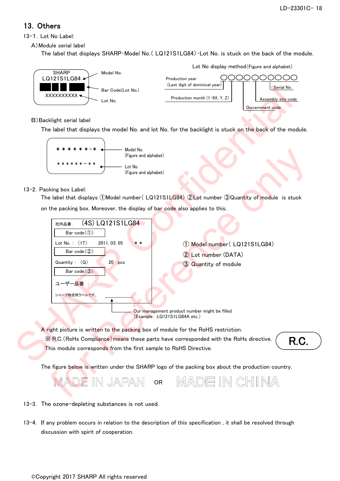## 13.Others

13-1.Lot No Label:

A)Module serial label

The label that displays SHARP・Model No.( LQ121S1LG84)・Lot No. is stuck on the back of the module.



### B)Backlight serial label

The label that displays the model No. and lot No. for the backlight is stuck on the back of the module.



#### 13-2. Packing box Label:

The label that displays ①Model number( LQ121S1LG84) ②Lot number ③Quantity of module is stuck

on the packing box. Moreover, the display of bar code also applies to this.



- 13-3. The ozone-depleting substances is not used.
- 13-4. If any problem occurs in relation to the description of this specification , it shall be resolved through discussion with spirit of cooperation.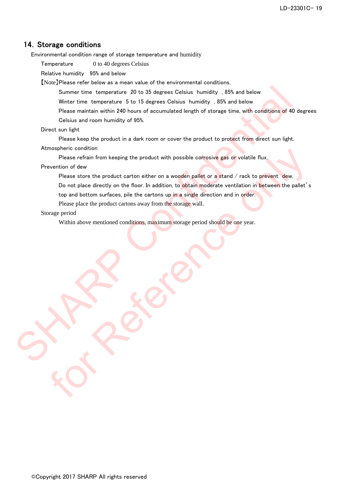### 14. Storage conditions

Environmental condition range of storage temperature and humidity

Temperature 0 to 40 degrees Celsius

Relative humidity 95% and below

【Note】Please refer below as a mean value of the environmental conditions.

Summer time temperature 20 to 35 degrees Celsius humidity , 85% and below

Winter time temperature 5 to 15 degrees Celsius humidity , 85% and below

Please maintain within 240 hours of accumulated length of storage time, with conditions of 40 degrees Celsius and room humidity of 95%. Summer time temperature 20 to 35 degrees Celsius humidity , 85% and below<br>Writter time temperature 5 to 15 degrees Celsius humidity , 85% and below<br>
Please maintain within 240 hours of accumulated length of storage time, w

#### Direct sun light

Please keep the product in a dark room or cover the product to protect from direct sun light.

Atmospheric condition

Please refrain from keeping the product with possible corrosive gas or volatile flux.

Prevention of dew

Please store the product carton either on a wooden pallet or a stand / rack to prevent dew.

Do not place directly on the floor. In addition, to obtain moderate ventilation in between the pallet's measure contained the product with possible correstive gas of volatile flux.<br>
Please refrain from keeping the product with possible correstive gas of volatile flux.<br>
Please are the product carton either on a wooden palet o

top and bottom surfaces, pile the cartons up in a single direction and in order.

Please place the product cartons away from the storage wall.

#### Storage period

Within above mentioned conditions, maximum storage period should be one year.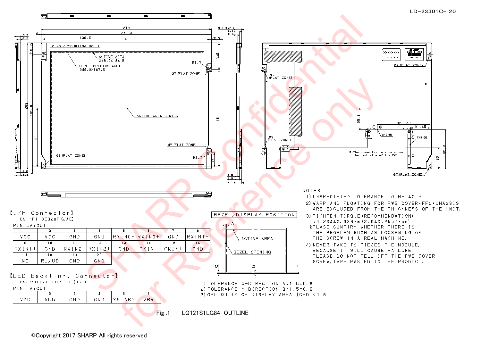

#### ©Copyright 2017 SHARP All rights reserved